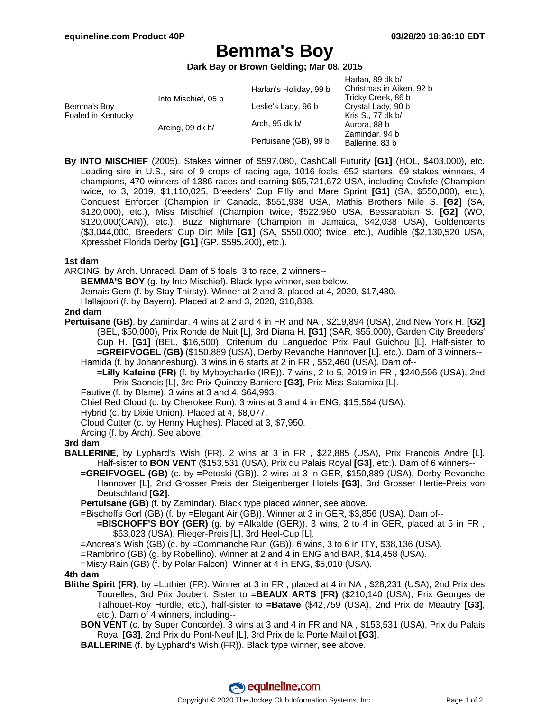$H$ arlan, 80 dk b/

# **Bemma's Boy**

**Dark Bay or Brown Gelding; Mar 08, 2015**

|  |                                         | Hallall, 09 UK D/        |
|--|-----------------------------------------|--------------------------|
|  | Harlan's Holiday, 99 b                  | Christmas in Aiken, 92 b |
|  |                                         | Tricky Creek, 86 b       |
|  | Leslie's Lady, 96 b                     | Crystal Lady, 90 b       |
|  | Arch, 95 dk b/                          | Kris S., 77 dk b/        |
|  |                                         | Aurora, 88 b             |
|  | Pertuisane (GB), 99 b                   | Zamindar, 94 b           |
|  |                                         | Ballerine, 83 b          |
|  | Into Mischief, 05 b<br>Arcing, 09 dk b/ |                          |

**By INTO MISCHIEF** (2005). Stakes winner of \$597,080, CashCall Futurity **[G1]** (HOL, \$403,000), etc. Leading sire in U.S., sire of 9 crops of racing age, 1016 foals, 652 starters, 69 stakes winners, 4 champions, 470 winners of 1386 races and earning \$65,721,672 USA, including Covfefe (Champion twice, to 3, 2019, \$1,110,025, Breeders' Cup Filly and Mare Sprint **[G1]** (SA, \$550,000), etc.), Conquest Enforcer (Champion in Canada, \$551,938 USA, Mathis Brothers Mile S. **[G2]** (SA, \$120,000), etc.), Miss Mischief (Champion twice, \$522,980 USA, Bessarabian S. **[G2]** (WO, \$120,000(CAN)), etc.), Buzz Nightmare (Champion in Jamaica, \$42,038 USA), Goldencents (\$3,044,000, Breeders' Cup Dirt Mile **[G1]** (SA, \$550,000) twice, etc.), Audible (\$2,130,520 USA, Xpressbet Florida Derby **[G1]** (GP, \$595,200), etc.).

#### **1st dam**

ARCING, by Arch. Unraced. Dam of 5 foals, 3 to race, 2 winners--

**BEMMA'S BOY** (g. by Into Mischief). Black type winner, see below.

Jemais Gem (f. by Stay Thirsty). Winner at 2 and 3, placed at 4, 2020, \$17,430.

Hallajoori (f. by Bayern). Placed at 2 and 3, 2020, \$18,838.

### **2nd dam**

**Pertuisane (GB)**, by Zamindar. 4 wins at 2 and 4 in FR and NA , \$219,894 (USA), 2nd New York H. **[G2]** (BEL, \$50,000), Prix Ronde de Nuit [L], 3rd Diana H. **[G1]** (SAR, \$55,000), Garden City Breeders' Cup H. **[G1]** (BEL, \$16,500), Criterium du Languedoc Prix Paul Guichou [L]. Half-sister to **=GREIFVOGEL (GB)** (\$150,889 (USA), Derby Revanche Hannover [L], etc.). Dam of 3 winners-- Hamida (f. by Johannesburg). 3 wins in 6 starts at 2 in FR , \$52,460 (USA). Dam of--

**=Lilly Kafeine (FR)** (f. by Myboycharlie (IRE)). 7 wins, 2 to 5, 2019 in FR , \$240,596 (USA), 2nd Prix Saonois [L], 3rd Prix Quincey Barriere **[G3]**, Prix Miss Satamixa [L].

Fautive (f. by Blame). 3 wins at 3 and 4, \$64,993.

Chief Red Cloud (c. by Cherokee Run). 3 wins at 3 and 4 in ENG, \$15,564 (USA).

Hybrid (c. by Dixie Union). Placed at 4, \$8,077.

- Cloud Cutter (c. by Henny Hughes). Placed at 3, \$7,950.
- Arcing (f. by Arch). See above.

## **3rd dam**

- **BALLERINE**, by Lyphard's Wish (FR). 2 wins at 3 in FR , \$22,885 (USA), Prix Francois Andre [L]. Half-sister to **BON VENT** (\$153,531 (USA), Prix du Palais Royal **[G3]**, etc.). Dam of 6 winners--
	- **=GREIFVOGEL (GB)** (c. by =Petoski (GB)). 2 wins at 3 in GER, \$150,889 (USA), Derby Revanche Hannover [L], 2nd Grosser Preis der Steigenberger Hotels **[G3]**, 3rd Grosser Hertie-Preis von Deutschland **[G2]**.
	- **Pertuisane (GB)** (f. by Zamindar). Black type placed winner, see above.
	- =Bischoffs Gorl (GB) (f. by =Elegant Air (GB)). Winner at 3 in GER, \$3,856 (USA). Dam of--
		- **=BISCHOFF'S BOY (GER)** (g. by =Alkalde (GER)). 3 wins, 2 to 4 in GER, placed at 5 in FR, \$63,023 (USA), Flieger-Preis [L], 3rd Heel-Cup [L].
	- =Andrea's Wish (GB) (c. by =Commanche Run (GB)). 6 wins, 3 to 6 in ITY, \$38,136 (USA).
	- =Rambrino (GB) (g. by Robellino). Winner at 2 and 4 in ENG and BAR, \$14,458 (USA).
	- =Misty Rain (GB) (f. by Polar Falcon). Winner at 4 in ENG, \$5,010 (USA).

#### **4th dam**

- **Blithe Spirit (FR)**, by =Luthier (FR). Winner at 3 in FR , placed at 4 in NA , \$28,231 (USA), 2nd Prix des Tourelles, 3rd Prix Joubert. Sister to **=BEAUX ARTS (FR)** (\$210,140 (USA), Prix Georges de Talhouet-Roy Hurdle, etc.), half-sister to **=Batave** (\$42,759 (USA), 2nd Prix de Meautry **[G3]**, etc.). Dam of 4 winners, including--
	- **BON VENT** (c. by Super Concorde). 3 wins at 3 and 4 in FR and NA , \$153,531 (USA), Prix du Palais Royal **[G3]**, 2nd Prix du Pont-Neuf [L], 3rd Prix de la Porte Maillot **[G3]**.
	- **BALLERINE** (f. by Lyphard's Wish (FR)). Black type winner, see above.